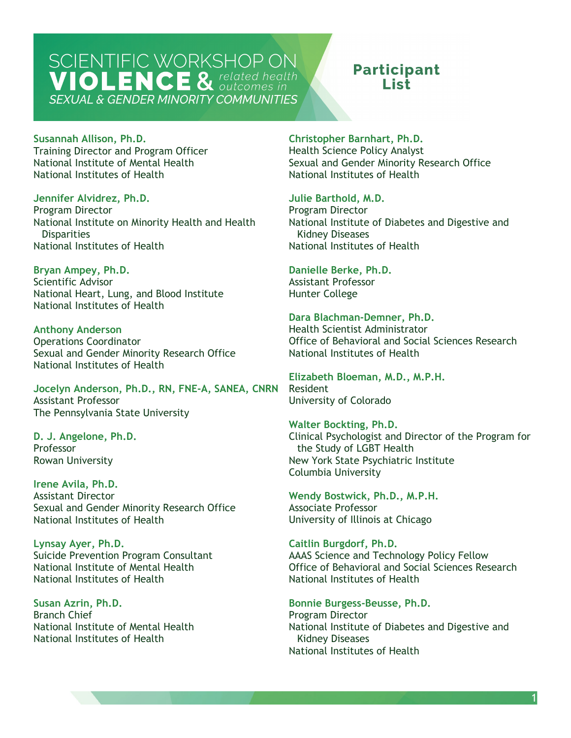### **Participant** l ict

#### **Susannah Allison, Ph.D.**

Training Director and Program Officer National Institute of Mental Health National Institutes of Health

**Jennifer Alvidrez, Ph.D.** 

Program Director National Institute on Minority Health and Health **Disparities** National Institutes of Health

**Bryan Ampey, Ph.D.**  Scientific Advisor National Heart, Lung, and Blood Institute National Institutes of Health

**Anthony Anderson**  Operations Coordinator Sexual and Gender Minority Research Office National Institutes of Health

 **Jocelyn Anderson, Ph.D., RN, FNE-A, SANEA, CNRN**  Assistant Professor The Pennsylvania State University

**D. J. Angelone, Ph.D.**  Professor Rowan University

**Irene Avila, Ph.D.**  Assistant Director Sexual and Gender Minority Research Office National Institutes of Health

**Lynsay Ayer, Ph.D.**  Suicide Prevention Program Consultant National Institute of Mental Health National Institutes of Health

**Susan Azrin, Ph.D.**  Branch Chief National Institute of Mental Health National Institutes of Health

**Christopher Barnhart, Ph.D.**  Health Science Policy Analyst Sexual and Gender Minority Research Office National Institutes of Health

**Julie Barthold, M.D.** 

Program Director National Institute of Diabetes and Digestive and Kidney Diseases National Institutes of Health

**Danielle Berke, Ph.D.** 

Assistant Professor Hunter College

**Dara Blachman-Demner, Ph.D.** 

Health Scientist Administrator Office of Behavioral and Social Sciences Research National Institutes of Health

**Elizabeth Bloeman, M.D., M.P.H.**  Resident University of Colorado

**Walter Bockting, Ph.D.**  Clinical Psychologist and Director of the Program for the Study of LGBT Health New York State Psychiatric Institute Columbia University

**Wendy Bostwick, Ph.D., M.P.H.**  Associate Professor University of Illinois at Chicago

**Caitlin Burgdorf, Ph.D.**  AAAS Science and Technology Policy Fellow Office of Behavioral and Social Sciences Research National Institutes of Health

**Bonnie Burgess-Beusse, Ph.D.**  Program Director National Institute of Diabetes and Digestive and Kidney Diseases National Institutes of Health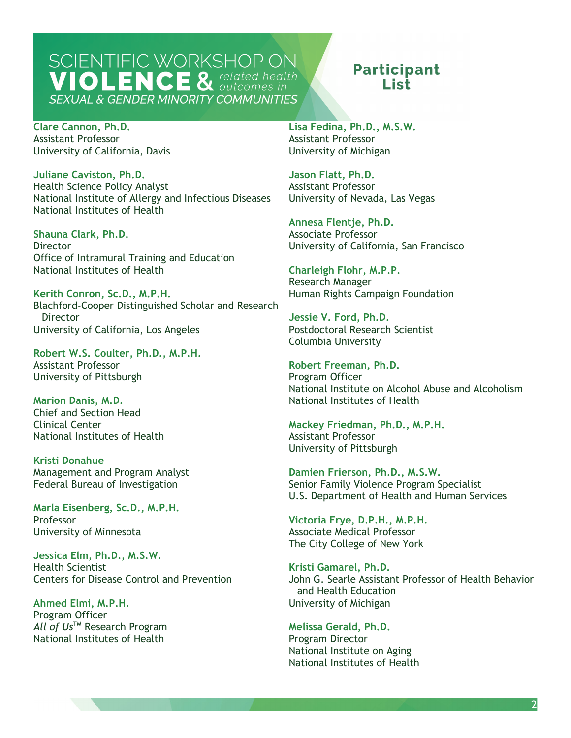## **Participant** I ist.

**Clare Cannon, Ph.D.**  Assistant Professor University of California, Davis

**Juliane Caviston, Ph.D.**  Health Science Policy Analyst National Institute of Allergy and Infectious Diseases National Institutes of Health

**Shauna Clark, Ph.D.**  Director Office of Intramural Training and Education National Institutes of Health

**Kerith Conron, Sc.D., M.P.H.**  Blachford-Cooper Distinguished Scholar and Research **Director** University of California, Los Angeles

**Robert W.S. Coulter, Ph.D., M.P.H.**  Assistant Professor University of Pittsburgh

**Marion Danis, M.D.**  Chief and Section Head Clinical Center National Institutes of Health

**Kristi Donahue**  Management and Program Analyst Federal Bureau of Investigation

**Marla Eisenberg, Sc.D., M.P.H.**  Professor University of Minnesota

 **Jessica Elm, Ph.D., M.S.W.**  Health Scientist Centers for Disease Control and Prevention

**Ahmed Elmi, M.P.H.**  Program Officer *All of Us*TM Research Program National Institutes of Health

**Lisa Fedina, Ph.D., M.S.W.**  Assistant Professor University of Michigan

**Jason Flatt, Ph.D.**  Assistant Professor University of Nevada, Las Vegas

**Annesa Flentje, Ph.D.**  Associate Professor University of California, San Francisco

**Charleigh Flohr, M.P.P.**  Research Manager Human Rights Campaign Foundation

**Jessie V. Ford, Ph.D.**  Postdoctoral Research Scientist Columbia University

Program Officer **Robert Freeman, Ph.D.**  National Institute on Alcohol Abuse and Alcoholism National Institutes of Health

**Mackey Friedman, Ph.D., M.P.H.**  Assistant Professor University of Pittsburgh

**Damien Frierson, Ph.D., M.S.W.**  Senior Family Violence Program Specialist U.S. Department of Health and Human Services

**Victoria Frye, D.P.H., M.P.H.**  Associate Medical Professor The City College of New York

**Kristi Gamarel, Ph.D.**  John G. Searle Assistant Professor of Health Behavior and Health Education University of Michigan

**Melissa Gerald, Ph.D.**  Program Director National Institute on Aging National Institutes of Health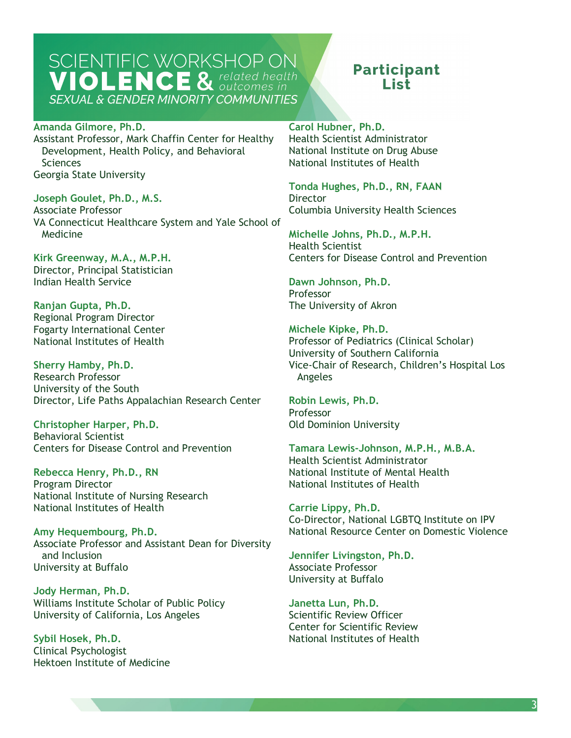## **Participant** I ist.

#### **Amanda Gilmore, Ph.D.**

Assistant Professor, Mark Chaffin Center for Healthy Development, Health Policy, and Behavioral Sciences Georgia State University

**Joseph Goulet, Ph.D., M.S.**  Associate Professor VA Connecticut Healthcare System and Yale School of Medicine

**Kirk Greenway, M.A., M.P.H.**  Director, Principal Statistician Indian Health Service

**Ranjan Gupta, Ph.D.**  Regional Program Director Fogarty International Center National Institutes of Health

**Sherry Hamby, Ph.D.**  Research Professor University of the South Director, Life Paths Appalachian Research Center

**Christopher Harper, Ph.D.**  Behavioral Scientist Centers for Disease Control and Prevention

**Rebecca Henry, Ph.D., RN**  Program Director National Institute of Nursing Research National Institutes of Health

 and Inclusion **Amy Hequembourg, Ph.D.**  Associate Professor and Assistant Dean for Diversity University at Buffalo

**Jody Herman, Ph.D.**  Williams Institute Scholar of Public Policy University of California, Los Angeles

**Sybil Hosek, Ph.D.**  Clinical Psychologist Hektoen Institute of Medicine **Carol Hubner, Ph.D.** 

Health Scientist Administrator National Institute on Drug Abuse National Institutes of Health

**Tonda Hughes, Ph.D., RN, FAAN Director** Columbia University Health Sciences

**Michelle Johns, Ph.D., M.P.H.**  Health Scientist Centers for Disease Control and Prevention

**Dawn Johnson, Ph.D.**  Professor The University of Akron

**Michele Kipke, Ph.D.**  Professor of Pediatrics (Clinical Scholar) University of Southern California Vice-Chair of Research, Children's Hospital Los Angeles

**Robin Lewis, Ph.D.**  Professor Old Dominion University

**Tamara Lewis-Johnson, M.P.H., M.B.A.**  Health Scientist Administrator National Institute of Mental Health National Institutes of Health

**Carrie Lippy, Ph.D.**  Co-Director, National LGBTQ Institute on IPV National Resource Center on Domestic Violence

**Jennifer Livingston, Ph.D.**  Associate Professor University at Buffalo

Scientific Review Officer **Janetta Lun, Ph.D.**  Center for Scientific Review National Institutes of Health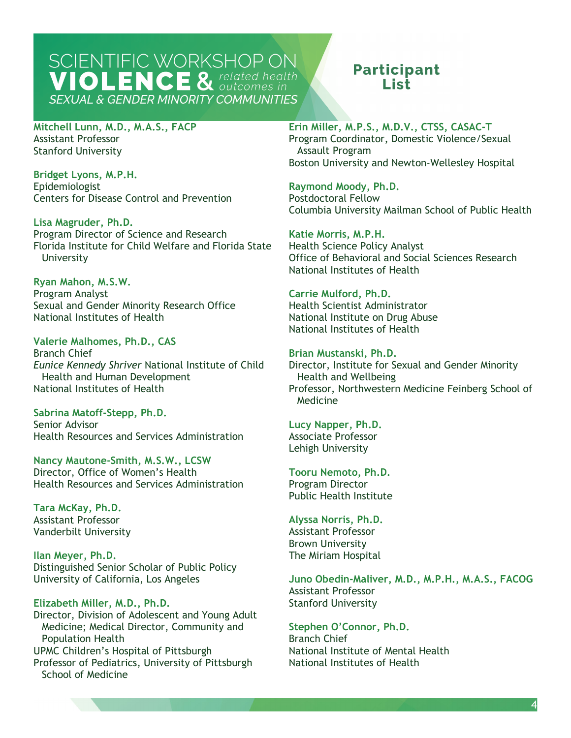### **Participant** l ist.

**Mitchell Lunn, M.D., M.A.S., FACP**  Assistant Professor Stanford University

**Bridget Lyons, M.P.H.**  Epidemiologist Centers for Disease Control and Prevention

**Lisa Magruder, Ph.D.**  Program Director of Science and Research Florida Institute for Child Welfare and Florida State University

**Ryan Mahon, M.S.W.**  Program Analyst Sexual and Gender Minority Research Office National Institutes of Health

**Valerie Malhomes, Ph.D., CAS**  Branch Chief *Eunice Kennedy Shriver* National Institute of Child Health and Human Development National Institutes of Health

**Sabrina Matoff-Stepp, Ph.D.**  Senior Advisor Health Resources and Services Administration

**Nancy Mautone-Smith, M.S.W., LCSW**  Director, Office of Women's Health Health Resources and Services Administration

**Tara McKay, Ph.D.**  Assistant Professor Vanderbilt University

**Ilan Meyer, Ph.D.**  Distinguished Senior Scholar of Public Policy University of California, Los Angeles

#### **Elizabeth Miller, M.D., Ph.D.**

Director, Division of Adolescent and Young Adult Medicine; Medical Director, Community and Population Health UPMC Children's Hospital of Pittsburgh Professor of Pediatrics, University of Pittsburgh School of Medicine

**Erin Miller, M.P.S., M.D.V., CTSS, CASAC-T**  Program Coordinator, Domestic Violence/Sexual

 Boston University and Newton-Wellesley Hospital Assault Program

**Postdoctoral Fellow Raymond Moody, Ph.D.**  Columbia University Mailman School of Public Health

**Katie Morris, M.P.H.**  Health Science Policy Analyst Office of Behavioral and Social Sciences Research National Institutes of Health

**Carrie Mulford, Ph.D.**  Health Scientist Administrator National Institute on Drug Abuse National Institutes of Health

#### **Brian Mustanski, Ph.D.**  Director, Institute for Sexual and Gender Minority

Health and Wellbeing Professor, Northwestern Medicine Feinberg School of Medicine

**Lucy Napper, Ph.D.**  Associate Professor

Lehigh University

**Tooru Nemoto, Ph.D.**  Program Director Public Health Institute

**Alyssa Norris, Ph.D.**  Assistant Professor Brown University The Miriam Hospital

**Juno Obedin-Maliver, M.D., M.P.H., M.A.S., FACOG**  Assistant Professor Stanford University

**Stephen O'Connor, Ph.D.**  Branch Chief National Institute of Mental Health National Institutes of Health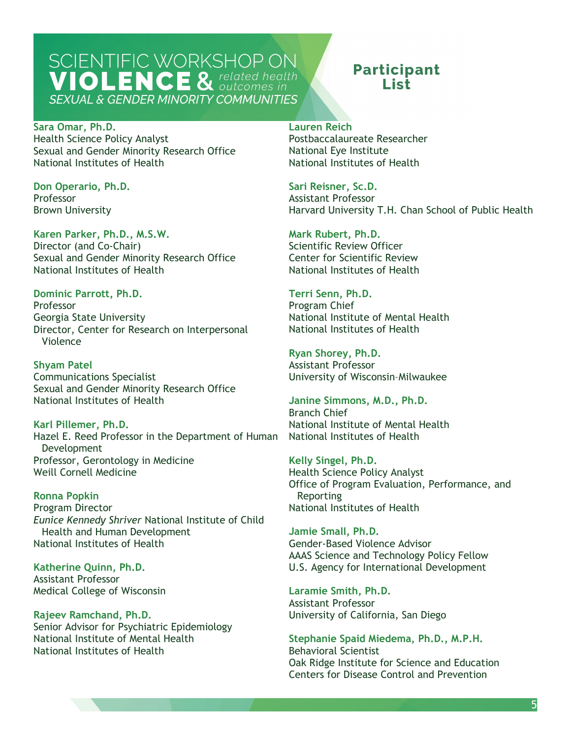### **Participant** I ist.

**Sara Omar, Ph.D.**  Health Science Policy Analyst Sexual and Gender Minority Research Office National Institutes of Health

**Don Operario, Ph.D.**  Professor Brown University

#### **Karen Parker, Ph.D., M.S.W.**

Director (and Co-Chair) Sexual and Gender Minority Research Office National Institutes of Health

**Dominic Parrott, Ph.D.**  Professor Georgia State University Director, Center for Research on Interpersonal Violence

**Shyam Patel**  Communications Specialist Sexual and Gender Minority Research Office National Institutes of Health

**Karl Pillemer, Ph.D.**  Hazel E. Reed Professor in the Department of Human Development Professor, Gerontology in Medicine Weill Cornell Medicine

**Ronna Popkin**  Program Director *Eunice Kennedy Shriver* National Institute of Child Health and Human Development National Institutes of Health

**Katherine Quinn, Ph.D.**  Assistant Professor Medical College of Wisconsin

**Rajeev Ramchand, Ph.D.**  Senior Advisor for Psychiatric Epidemiology National Institute of Mental Health National Institutes of Health

#### **Lauren Reich**

 Postbaccalaureate Researcher National Eye Institute National Institutes of Health

**Sari Reisner, Sc.D.**  Assistant Professor Harvard University T.H. Chan School of Public Health

Scientific Review Officer **Mark Rubert, Ph.D.**  Center for Scientific Review National Institutes of Health

**Terri Senn, Ph.D.**  Program Chief National Institute of Mental Health National Institutes of Health

**Ryan Shorey, Ph.D.**  Assistant Professor University of Wisconsin–Milwaukee

**Janine Simmons, M.D., Ph.D.**  Branch Chief National Institute of Mental Health National Institutes of Health

**Kelly Singel, Ph.D.**  Health Science Policy Analyst Office of Program Evaluation, Performance, and Reporting National Institutes of Health

**Jamie Small, Ph.D.**  Gender-Based Violence Advisor AAAS Science and Technology Policy Fellow U.S. Agency for International Development

**Laramie Smith, Ph.D.**  Assistant Professor University of California, San Diego

**Stephanie Spaid Miedema, Ph.D., M.P.H.**  Behavioral Scientist Oak Ridge Institute for Science and Education Centers for Disease Control and Prevention